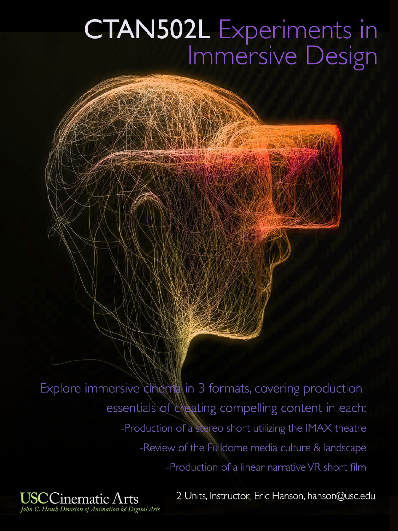# CTAN502L Experiments in Immersive Design

Explore immersive cinema in 3 formats, covering production essentials of creating compelling content in each: -Production of a stereo short utilizing the IMAX theatre -Review of the Fulldome media culture & landscape -Production of a linear narrative VR short film

2 Units, Instructor: Eric Hanson, hanson@usc.edu

John C. Hench Division of Animation & Digital Arts

linematic Arts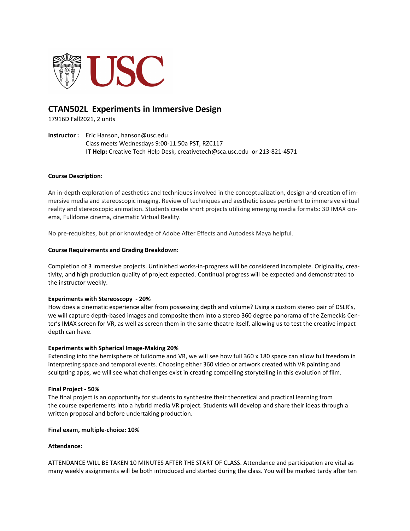

# **CTAN502L Experiments in Immersive Design**

17916D Fall2021, 2 units

**Instructor :** Eric Hanson, hanson@usc.edu Class meets Wednesdays 9:00-11:50a PST, RZC117  **IT Help:** Creative Tech Help Desk, creativetech@sca.usc.edu or 213-821-4571

#### **Course Description:**

An in-depth exploration of aesthetics and techniques involved in the conceptualization, design and creation of immersive media and stereoscopic imaging. Review of techniques and aesthetic issues pertinent to immersive virtual reality and stereoscopic animation. Students create short projects utilizing emerging media formats: 3D IMAX cinema, Fulldome cinema, cinematic Virtual Reality.

No pre-requisites, but prior knowledge of Adobe After Effects and Autodesk Maya helpful.

#### **Course Requirements and Grading Breakdown:**

Completion of 3 immersive projects. Unfinished works-in-progress will be considered incomplete. Originality, creativity, and high production quality of project expected. Continual progress will be expected and demonstrated to the instructor weekly.

#### **Experiments with Stereoscopy - 20%**

How does a cinematic experience alter from possessing depth and volume? Using a custom stereo pair of DSLR's, we will capture depth-based images and composite them into a stereo 360 degree panorama of the Zemeckis Center's IMAX screen for VR, as well as screen them in the same theatre itself, allowing us to test the creative impact depth can have.

#### **Experiments with Spherical Image-Making 20%**

Extending into the hemisphere of fulldome and VR, we will see how full 360 x 180 space can allow full freedom in interpreting space and temporal events. Choosing either 360 video or artwork created with VR painting and scultpting apps, we will see what challenges exist in creating compelling storytelling in this evolution of film.

#### **Final Project - 50%**

The final project is an opportunity for students to synthesize their theoretical and practical learning from the course experiements into a hybrid media VR project. Students will develop and share their ideas through a written proposal and before undertaking production.

#### **Final exam, multiple-choice: 10%**

#### **Attendance:**

ATTENDANCE WILL BE TAKEN 10 MINUTES AFTER THE START OF CLASS. Attendance and participation are vital as many weekly assignments will be both introduced and started during the class. You will be marked tardy after ten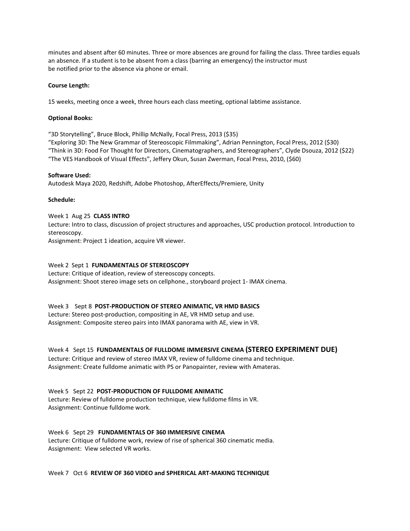minutes and absent after 60 minutes. Three or more absences are ground for failing the class. Three tardies equals an absence. If a student is to be absent from a class (barring an emergency) the instructor must be notified prior to the absence via phone or email.

#### **Course Length:**

15 weeks, meeting once a week, three hours each class meeting, optional labtime assistance.

#### **Optional Books:**

"3D Storytelling", Bruce Block, Phillip McNally, Focal Press, 2013 (\$35) "Exploring 3D: The New Grammar of Stereoscopic Filmmaking", Adrian Pennington, Focal Press, 2012 (\$30) "Think in 3D: Food For Thought for Directors, Cinematographers, and Stereographers", Clyde Dsouza, 2012 (\$22) "The VES Handbook of Visual Effects", Jeffery Okun, Susan Zwerman, Focal Press, 2010, (\$60)

#### **Software Used:**

Autodesk Maya 2020, Redshift, Adobe Photoshop, AfterEffects/Premiere, Unity

#### **Schedule:**

Week 1 Aug 25 **CLASS INTRO** Lecture: Intro to class, discussion of project structures and approaches, USC production protocol. Introduction to stereoscopy. Assignment: Project 1 ideation, acquire VR viewer.

#### Week 2 Sept 1 **FUNDAMENTALS OF STEREOSCOPY**

Lecture: Critique of ideation, review of stereoscopy concepts. Assignment: Shoot stereo image sets on cellphone., storyboard project 1- IMAX cinema.

#### Week 3 Sept 8 **POST-PRODUCTION OF STEREO ANIMATIC, VR HMD BASICS**

Lecture: Stereo post-production, compositing in AE, VR HMD setup and use. Assignment: Composite stereo pairs into IMAX panorama with AE, view in VR.

Week 4 Sept 15 **FUNDAMENTALS OF FULLDOME IMMERSIVE CINEMA (STEREO EXPERIMENT DUE)**

Lecture: Critique and review of stereo IMAX VR, review of fulldome cinema and technique. Assignment: Create fulldome animatic with PS or Panopainter, review with Amateras.

Week 5 Sept 22 **POST-PRODUCTION OF FULLDOME ANIMATIC**

Lecture: Review of fulldome production technique, view fulldome films in VR. Assignment: Continue fulldome work.

Week 6 Sept 29 **FUNDAMENTALS OF 360 IMMERSIVE CINEMA** Lecture: Critique of fulldome work, review of rise of spherical 360 cinematic media. Assignment: View selected VR works.

#### Week 7 Oct 6 **REVIEW OF 360 VIDEO and SPHERICAL ART-MAKING TECHNIQUE**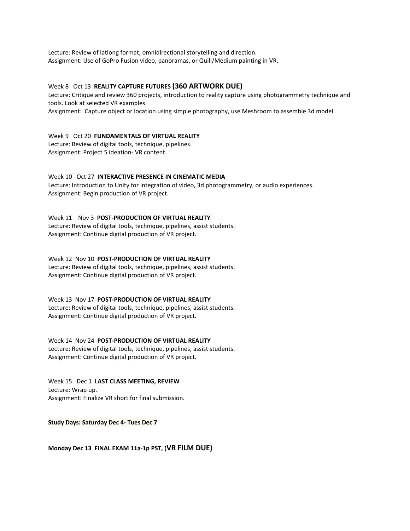Lecture: Review of latlong format, omnidirectional storytelling and direction. Assignment: Use of GoPro Fusion video, panoramas, or Quill/Medium painting in VR.

#### Week 8 Oct 13 **REALITY CAPTURE FUTURES (360 ARTWORK DUE)**

Lecture: Critique and review 360 projects, introduction to reality capture using photogrammetry technique and tools. Look at selected VR examples.

Assignment: Capture object or location using simple photography, use Meshroom to assemble 3d model.

Week 9 Oct 20 **FUNDAMENTALS OF VIRTUAL REALITY** Lecture: Review of digital tools, technique, pipelines. Assignment: Project 5 ideation- VR content.

Week 10 Oct 27 **INTERACTIVE PRESENCE IN CINEMATIC MEDIA** Lecture: Introduction to Unity for integration of video, 3d photogrammetry, or audio experiences.

Assignment: Begin production of VR project.

Week 11 Nov 3 **POST-PRODUCTION OF VIRTUAL REALITY** Lecture: Review of digital tools, technique, pipelines, assist students. Assignment: Continue digital production of VR project.

Week 12 Nov 10 **POST-PRODUCTION OF VIRTUAL REALITY** Lecture: Review of digital tools, technique, pipelines, assist students. Assignment: Continue digital production of VR project.

Week 13 Nov 17 **POST-PRODUCTION OF VIRTUAL REALITY** Lecture: Review of digital tools, technique, pipelines, assist students. Assignment: Continue digital production of VR project.

Week 14 Nov 24 **POST-PRODUCTION OF VIRTUAL REALITY** Lecture: Review of digital tools, technique, pipelines, assist students. Assignment: Continue digital production of VR project.

Week 15 Dec 1 **LAST CLASS MEETING, REVIEW** Lecture: Wrap up. Assignment: Finalize VR short for final submission.

**Study Days: Saturday Dec 4- Tues Dec 7** 

**Monday Dec 13 FINAL EXAM 11a-1p PST, (VR FILM DUE)**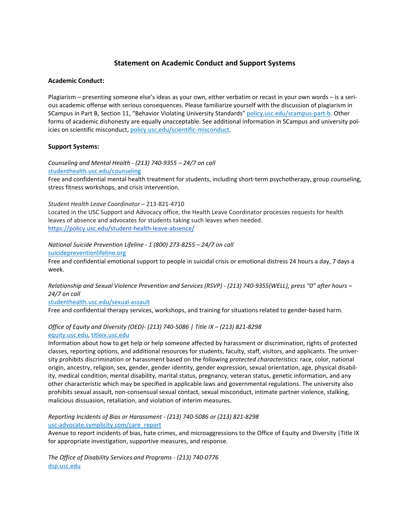# **Statement on Academic Conduct and Support Systems**

#### **Academic Conduct:**

Plagiarism – presenting someone else's ideas as your own, either verbatim or recast in your own words – is a serious academic offense with serious consequences. Please familiarize yourself with the discussion of plagiarism in SCampus in Part B, Section 11, "Behavior Violating University Standards[" policy.usc.edu/scampus-part-b.](https://policy.usc.edu/scampus-part-b/) Other forms of academic dishonesty are equally unacceptable. See additional information in SCampus and university policies on scientific misconduct[, policy.usc.edu/scientific-misconduct.](http://policy.usc.edu/scientific-misconduct)

#### **Support Systems:**

*Counseling and Mental Health - (213) 740-9355 – 24/7 on call* [studenthealth.usc.edu/counseling](https://studenthealth.usc.edu/counseling/)

Free and confidential mental health treatment for students, including short-term psychotherapy, group counseling, stress fitness workshops, and crisis intervention.

*Student Health Leave Coordinator* – 213-821-4710

Located in the USC Support and Advocacy office, the Health Leave Coordinator processes requests for health leaves of absence and advocates for students taking such leaves when needed. <https://policy.usc.edu/student-health-leave-absence/>

*National Suicide Prevention Lifeline - 1 (800) 273-8255 – 24/7 on call*

[suicidepreventionlifeline.org](http://www.suicidepreventionlifeline.org/)

Free and confidential emotional support to people in suicidal crisis or emotional distress 24 hours a day, 7 days a week.

*Relationship and Sexual Violence Prevention and Services (RSVP) - (213) 740-9355(WELL), press "0" after hours – 24/7 on call*

[studenthealth.usc.edu/sexual-assault](https://studenthealth.usc.edu/sexual-assault/)

Free and confidential therapy services, workshops, and training for situations related to gender-based harm[.](https://engemannshc.usc.edu/rsvp/)

#### *Office of Equity and Diversity (OED)- (213) 740-5086 | Title IX – (213) 821-8298* [equity.usc.edu,](https://equity.usc.edu/) [titleix.usc.edu](http://titleix.usc.edu/)

Information about how to get help or help someone affected by harassment or discrimination, rights of protected classes, reporting options, and additional resources for students, faculty, staff, visitors, and applicants. The university prohibits discrimination or harassment based on the following *protected characteristics*: race, color, national origin, ancestry, religion, sex, gender, gender identity, gender expression, sexual orientation, age, physical disability, medical condition, mental disability, marital status, pregnancy, veteran status, genetic information, and any other characteristic which may be specified in applicable laws and governmental regulations. The university also prohibits sexual assault, non-consensual sexual contact, sexual misconduct, intimate partner violence, stalking, malicious dissuasion, retaliation, and violation of interim measures.

*Reporting Incidents of Bias or Harassment - (213) 740-5086 or (213) 821-8298* [usc-advocate.symplicity.com/care\\_report](https://usc-advocate.symplicity.com/care_report/)

Avenue to report incidents of bias, hate crimes, and microaggressions to the Office of Equity and Diversity |Title IX for appropriate investigation, supportive measures, and respons[e.](https://studentaffairs.usc.edu/bias-assessment-response-support/)

*The Office of Disability Services and Programs - (213) 740-0776* [dsp.usc.edu](http://dsp.usc.edu/)